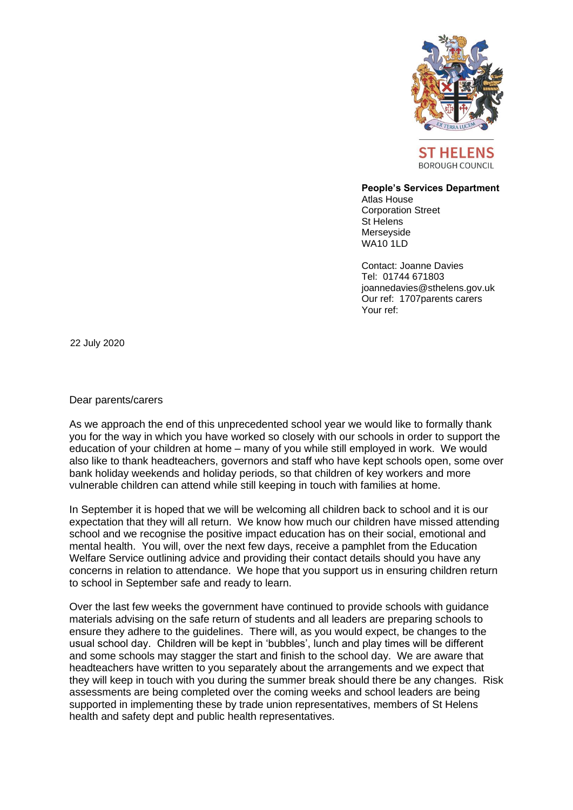

BOROUGH COUNCIL

## **People's Services Department**

Atlas House Corporation Street St Helens Merseyside WA10 1LD

Contact: Joanne Davies Tel: 01744 671803 joannedavies@sthelens.gov.uk Our ref: 1707parents carers Your ref:

22 July 2020

## Dear parents/carers

As we approach the end of this unprecedented school year we would like to formally thank you for the way in which you have worked so closely with our schools in order to support the education of your children at home – many of you while still employed in work. We would also like to thank headteachers, governors and staff who have kept schools open, some over bank holiday weekends and holiday periods, so that children of key workers and more vulnerable children can attend while still keeping in touch with families at home.

In September it is hoped that we will be welcoming all children back to school and it is our expectation that they will all return. We know how much our children have missed attending school and we recognise the positive impact education has on their social, emotional and mental health. You will, over the next few days, receive a pamphlet from the Education Welfare Service outlining advice and providing their contact details should you have any concerns in relation to attendance. We hope that you support us in ensuring children return to school in September safe and ready to learn.

Over the last few weeks the government have continued to provide schools with guidance materials advising on the safe return of students and all leaders are preparing schools to ensure they adhere to the guidelines. There will, as you would expect, be changes to the usual school day. Children will be kept in 'bubbles', lunch and play times will be different and some schools may stagger the start and finish to the school day. We are aware that headteachers have written to you separately about the arrangements and we expect that they will keep in touch with you during the summer break should there be any changes. Risk assessments are being completed over the coming weeks and school leaders are being supported in implementing these by trade union representatives, members of St Helens health and safety dept and public health representatives.